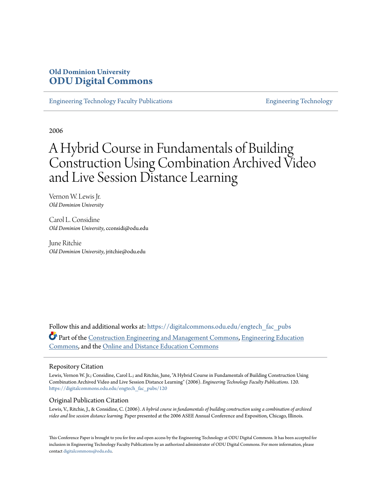# **Old Dominion University [ODU Digital Commons](https://digitalcommons.odu.edu?utm_source=digitalcommons.odu.edu%2Fengtech_fac_pubs%2F120&utm_medium=PDF&utm_campaign=PDFCoverPages)**

[Engineering Technology Faculty Publications](https://digitalcommons.odu.edu/engtech_fac_pubs?utm_source=digitalcommons.odu.edu%2Fengtech_fac_pubs%2F120&utm_medium=PDF&utm_campaign=PDFCoverPages) [Engineering Technology](https://digitalcommons.odu.edu/engtech?utm_source=digitalcommons.odu.edu%2Fengtech_fac_pubs%2F120&utm_medium=PDF&utm_campaign=PDFCoverPages)

2006

# A Hybrid Course in Fundamentals of Building Construction Using Combination Archived Video and Live Session Distance Learning

Vernon W. Lewis Jr. *Old Dominion University*

Carol L. Considine *Old Dominion University*, cconsidi@odu.edu

June Ritchie *Old Dominion University*, jritchie@odu.edu

Follow this and additional works at: [https://digitalcommons.odu.edu/engtech\\_fac\\_pubs](https://digitalcommons.odu.edu/engtech_fac_pubs?utm_source=digitalcommons.odu.edu%2Fengtech_fac_pubs%2F120&utm_medium=PDF&utm_campaign=PDFCoverPages) Part of the [Construction Engineering and Management Commons,](http://network.bepress.com/hgg/discipline/253?utm_source=digitalcommons.odu.edu%2Fengtech_fac_pubs%2F120&utm_medium=PDF&utm_campaign=PDFCoverPages) [Engineering Education](http://network.bepress.com/hgg/discipline/1191?utm_source=digitalcommons.odu.edu%2Fengtech_fac_pubs%2F120&utm_medium=PDF&utm_campaign=PDFCoverPages) [Commons,](http://network.bepress.com/hgg/discipline/1191?utm_source=digitalcommons.odu.edu%2Fengtech_fac_pubs%2F120&utm_medium=PDF&utm_campaign=PDFCoverPages) and the [Online and Distance Education Commons](http://network.bepress.com/hgg/discipline/1296?utm_source=digitalcommons.odu.edu%2Fengtech_fac_pubs%2F120&utm_medium=PDF&utm_campaign=PDFCoverPages)

#### Repository Citation

Lewis, Vernon W. Jr.; Considine, Carol L.; and Ritchie, June, "A Hybrid Course in Fundamentals of Building Construction Using Combination Archived Video and Live Session Distance Learning" (2006). *Engineering Technology Faculty Publications*. 120. [https://digitalcommons.odu.edu/engtech\\_fac\\_pubs/120](https://digitalcommons.odu.edu/engtech_fac_pubs/120?utm_source=digitalcommons.odu.edu%2Fengtech_fac_pubs%2F120&utm_medium=PDF&utm_campaign=PDFCoverPages)

#### Original Publication Citation

Lewis, V., Ritchie, J., & Considine, C. (2006). *A hybrid course in fundamentals of building construction using a combination of archived video and live session distance learning.* Paper presented at the 2006 ASEE Annual Conference and Exposition, Chicago, Illinois.

This Conference Paper is brought to you for free and open access by the Engineering Technology at ODU Digital Commons. It has been accepted for inclusion in Engineering Technology Faculty Publications by an authorized administrator of ODU Digital Commons. For more information, please contact [digitalcommons@odu.edu](mailto:digitalcommons@odu.edu).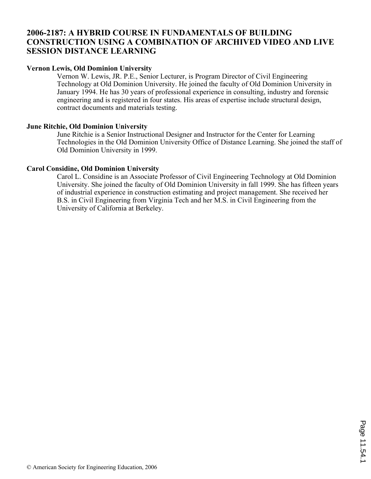## **2006-2187: A HYBRID COURSE IN FUNDAMENTALS OF BUILDING CONSTRUCTION USING A COMBINATION OF ARCHIVED VIDEO AND LIVE SESSION DISTANCE LEARNING**

## **Vernon Lewis, Old Dominion University**

Vernon W. Lewis, JR. P.E., Senior Lecturer, is Program Director of Civil Engineering Technology at Old Dominion University. He joined the faculty of Old Dominion University in January 1994. He has 30 years of professional experience in consulting, industry and forensic engineering and is registered in four states. His areas of expertise include structural design, contract documents and materials testing.

#### **June Ritchie, Old Dominion University**

June Ritchie is a Senior Instructional Designer and Instructor for the Center for Learning Technologies in the Old Dominion University Office of Distance Learning. She joined the staff of Old Dominion University in 1999.

#### **Carol Considine, Old Dominion University**

Carol L. Considine is an Associate Professor of Civil Engineering Technology at Old Dominion University. She joined the faculty of Old Dominion University in fall 1999. She has fifteen years of industrial experience in construction estimating and project management. She received her B.S. in Civil Engineering from Virginia Tech and her M.S. in Civil Engineering from the University of California at Berkeley.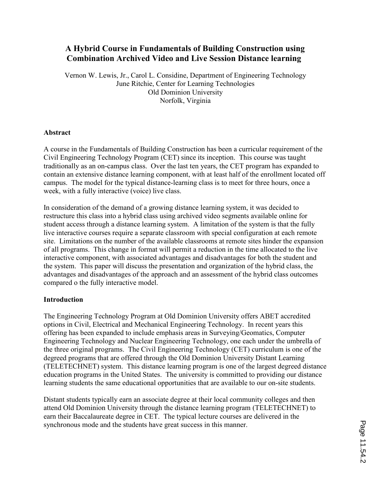# A Hybrid Course in Fundamentals of Building Construction using Combination Archived Video and Live Session Distance learning

Vernon W. Lewis, Jr., Carol L. Considine, Department of Engineering Technology June Ritchie, Center for Learning Technologies Old Dominion University Norfolk, Virginia

### **Abstract**

A course in the Fundamentals of Building Construction has been a curricular requirement of the Civil Engineering Technology Program (CET) since its inception. This course was taught traditionally as an on-campus class. Over the last ten years, the CET program has expanded to contain an extensive distance learning component, with at least half of the enrollment located off campus. The model for the typical distance-learning class is to meet for three hours, once a week, with a fully interactive (voice) live class.

In consideration of the demand of a growing distance learning system, it was decided to restructure this class into a hybrid class using archived video segments available online for student access through a distance learning system. A limitation of the system is that the fully live interactive courses require a separate classroom with special configuration at each remote site. Limitations on the number of the available classrooms at remote sites hinder the expansion of all programs. This change in format will permit a reduction in the time allocated to the live interactive component, with associated advantages and disadvantages for both the student and the system. This paper will discuss the presentation and organization of the hybrid class, the advantages and disadvantages of the approach and an assessment of the hybrid class outcomes compared o the fully interactive model.

#### Introduction

The Engineering Technology Program at Old Dominion University offers ABET accredited options in Civil, Electrical and Mechanical Engineering Technology. In recent years this offering has been expanded to include emphasis areas in Surveying/Geomatics, Computer Engineering Technology and Nuclear Engineering Technology, one each under the umbrella of the three original programs. The Civil Engineering Technology (CET) curriculum is one of the degreed programs that are offered through the Old Dominion University Distant Learning (TELETECHNET) system. This distance learning program is one of the largest degreed distance education programs in the United States. The university is committed to providing our distance learning students the same educational opportunities that are available to our on-site students.

Distant students typically earn an associate degree at their local community colleges and then attend Old Dominion University through the distance learning program (TELETECHNET) to earn their Baccalaureate degree in CET. The typical lecture courses are delivered in the synchronous mode and the students have great success in this manner.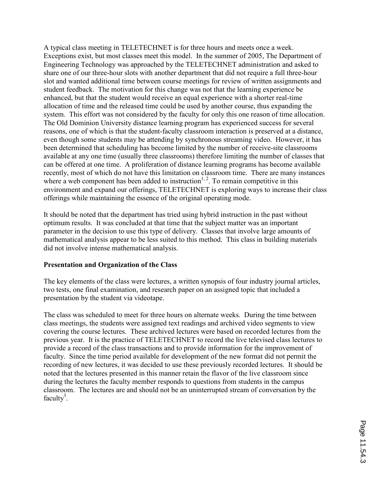A typical class meeting in TELETECHNET is for three hours and meets once a week. Exceptions exist, but most classes meet this model. In the summer of 2005, The Department of Engineering Technology was approached by the TELETECHNET administration and asked to share one of our three-hour slots with another department that did not require a full three-hour slot and wanted additional time between course meetings for review of written assignments and student feedback. The motivation for this change was not that the learning experience be enhanced, but that the student would receive an equal experience with a shorter real-time allocation of time and the released time could be used by another course, thus expanding the system. This effort was not considered by the faculty for only this one reason of time allocation. The Old Dominion University distance learning program has experienced success for several reasons, one of which is that the student-faculty classroom interaction is preserved at a distance, even though some students may be attending by synchronous streaming video. However, it has been determined that scheduling has become limited by the number of receive-site classrooms available at any one time (usually three classrooms) therefore limiting the number of classes that can be offered at one time. A proliferation of distance learning programs has become available recently, most of which do not have this limitation on classroom time. There are many instances where a web component has been added to instruction<sup>1, 2</sup>. To remain competitive in this environment and expand our offerings, TELETECHNET is exploring ways to increase their class offerings while maintaining the essence of the original operating mode.

It should be noted that the department has tried using hybrid instruction in the past without optimum results. It was concluded at that time that the subject matter was an important parameter in the decision to use this type of delivery. Classes that involve large amounts of mathematical analysis appear to be less suited to this method. This class in building materials did not involve intense mathematical analysis.

#### Presentation and Organization of the Class

The key elements of the class were lectures, a written synopsis of four industry journal articles, two tests, one final examination, and research paper on an assigned topic that included a presentation by the student via videotape.

The class was scheduled to meet for three hours on alternate weeks. During the time between class meetings, the students were assigned text readings and archived video segments to view covering the course lectures. These archived lectures were based on recorded lectures from the previous year. It is the practice of TELETECHNET to record the live televised class lectures to provide a record of the class transactions and to provide information for the improvement of faculty. Since the time period available for development of the new format did not permit the recording of new lectures, it was decided to use these previously recorded lectures. It should be noted that the lectures presented in this manner retain the flavor of the live classroom since during the lectures the faculty member responds to questions from students in the campus classroom. The lectures are and should not be an uninterrupted stream of conversation by the faculty<sup>3</sup>.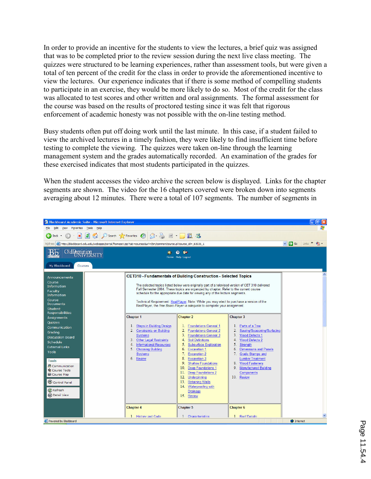In order to provide an incentive for the students to view the lectures, a brief quiz was assigned that was to be completed prior to the review session during the next live class meeting. The quizzes were structured to be learning experiences, rather than assessment tools, but were given a total of ten percent of the credit for the class in order to provide the aforementioned incentive to view the lectures. Our experience indicates that if there is some method of compelling students to participate in an exercise, they would be more likely to do so. Most of the credit for the class was allocated to test scores and other written and oral assignments. The formal assessment for the course was based on the results of proctored testing since it was felt that rigorous enforcement of academic honesty was not possible with the on-line testing method.

Busy students often put off doing work until the last minute. In this case, if a student failed to view the archived lectures in a timely fashion, they were likely to find insufficient time before testing to complete the viewing. The quizzes were taken on-line through the learning management system and the grades automatically recorded. An examination of the grades for these exercised indicates that most students participated in the quizzes.

When the student accesses the video archive the screen below is displayed. Links for the chapter segments are shown. The video for the 16 chapters covered were broken down into segments averaging about 12 minutes. There were a total of 107 segments. The number of segments in

| Blackboard Academic Suite - Microsoft Internet Explorer                                                                                                                                                                                                                              |                                                                                                                                                                                                                                                                                                                                                                                                                                                                                                                                     |                                                                                                                                                                                                                                                                                                                                                                                                                                                                                                                                                                        |                                                                                                                                                                                                                                                                                                                                               | $\mathbb{E}$                                                       |  |  |
|--------------------------------------------------------------------------------------------------------------------------------------------------------------------------------------------------------------------------------------------------------------------------------------|-------------------------------------------------------------------------------------------------------------------------------------------------------------------------------------------------------------------------------------------------------------------------------------------------------------------------------------------------------------------------------------------------------------------------------------------------------------------------------------------------------------------------------------|------------------------------------------------------------------------------------------------------------------------------------------------------------------------------------------------------------------------------------------------------------------------------------------------------------------------------------------------------------------------------------------------------------------------------------------------------------------------------------------------------------------------------------------------------------------------|-----------------------------------------------------------------------------------------------------------------------------------------------------------------------------------------------------------------------------------------------------------------------------------------------------------------------------------------------|--------------------------------------------------------------------|--|--|
| Favorites Tools Help<br>Edit<br>File<br>View                                                                                                                                                                                                                                         |                                                                                                                                                                                                                                                                                                                                                                                                                                                                                                                                     |                                                                                                                                                                                                                                                                                                                                                                                                                                                                                                                                                                        |                                                                                                                                                                                                                                                                                                                                               |                                                                    |  |  |
| e<br>×<br><b>Back</b>                                                                                                                                                                                                                                                                | ○ Search ☆ Favorites → 日 日 国 回 日 13                                                                                                                                                                                                                                                                                                                                                                                                                                                                                                 |                                                                                                                                                                                                                                                                                                                                                                                                                                                                                                                                                                        |                                                                                                                                                                                                                                                                                                                                               |                                                                    |  |  |
| Address <b>参 http://blackboard.odu.edu/webapps/portal/frameset.jsp?tab=courses&amp;url=/bin/common/course.pl?course_id=_83935_1</b>                                                                                                                                                  |                                                                                                                                                                                                                                                                                                                                                                                                                                                                                                                                     |                                                                                                                                                                                                                                                                                                                                                                                                                                                                                                                                                                        |                                                                                                                                                                                                                                                                                                                                               | $\vee$ $\rightarrow$ Go Links $\rightarrow$ $\oplus$ $\rightarrow$ |  |  |
| <b>Old PRIVERSITY</b><br><b>Blackboard</b><br>My Blackboard<br>Courses                                                                                                                                                                                                               |                                                                                                                                                                                                                                                                                                                                                                                                                                                                                                                                     | $\blacksquare$<br>ø<br>Home Help Logout                                                                                                                                                                                                                                                                                                                                                                                                                                                                                                                                |                                                                                                                                                                                                                                                                                                                                               |                                                                    |  |  |
| Announcements<br>Course<br><b>Information</b><br>Faculty<br><b>Information</b><br><b>Course</b><br><b>Documents</b><br><b>Student</b><br><b>Responsibilities</b>                                                                                                                     | <b>CET310 - Fundamentals of Building Construction - Selected Topics</b><br>The selected topics listed below were originally part of a televised version of CET 310 delivered<br>Fall Semester 2004. These topics are organized by chapter. Refer to the current course<br>schedule for the appropriate due date for viewing any of the lecture segments.<br>Technical Requirement: RealPlayer, Note: While you may elect to purchase a version of the<br>RealPlayer, the free Basic Player is adequate to complete your assignment. |                                                                                                                                                                                                                                                                                                                                                                                                                                                                                                                                                                        |                                                                                                                                                                                                                                                                                                                                               |                                                                    |  |  |
| Assignments<br>Quizzes<br>Communication<br>Grading<br><b>Discussion Board</b><br>Schedule<br><b>External Links</b><br><b>Tools</b><br><b>Tools</b><br><b>图 Communication</b><br><b>X</b> Course Tools<br><b>M</b> Course Map<br>Control Panel<br>C Refresh<br><b>(a)</b> Detail View | <b>Chapter 1</b><br>1. Steps in Building Design<br>2. Constraints on Building<br><b>Systems</b><br>3. Other Legal Restraints<br>4. Informational Resources<br>5.<br><b>Choosing Building</b><br>Systems<br>6. Review                                                                                                                                                                                                                                                                                                                | <b>Chapter 2</b><br><b>Foundations General 1</b><br>$\overline{2}$ .<br><b>Foundations General 2</b><br>3 <sup>1</sup><br><b>Foundations General 3</b><br>4.<br><b>Soil Definitions</b><br>5.<br><b>Subsurface Exploration</b><br><b>Excavation 1</b><br>6.<br>7.<br><b>Excavation 2</b><br>8.<br><b>Excavation 3</b><br>9.<br><b>Shallow Foundations</b><br><b>Deep Foundations 1</b><br>10 <sub>1</sub><br>11.<br><b>Deep Foundations 2</b><br>12.<br>Underpinning<br>13 <sup>13</sup><br><b>Retaining Walls</b><br>14. Waterproofing with<br>Drainage<br>15. Review | <b>Chapter 3</b><br>1. Parts of a Tree<br>2.<br>Sawing/Seasoning/Surfacing<br>3.<br><b>Wood Defects 1</b><br>4.<br><b>Wood Defects 2</b><br>5.<br><b>Strength</b><br>6.<br><b>Dimensions and Panels</b><br>7. Grade Stamps and<br><b>Lumber Treatment</b><br>8. Wood Fasteners<br>9. Manufactured Building<br><b>Components</b><br>10. Review |                                                                    |  |  |
|                                                                                                                                                                                                                                                                                      | <b>Chapter 4</b><br><b>History and Code</b>                                                                                                                                                                                                                                                                                                                                                                                                                                                                                         | <b>Chapter 5</b><br><b>Characteristics</b>                                                                                                                                                                                                                                                                                                                                                                                                                                                                                                                             | <b>Chapter 6</b><br><b>Roof Details</b><br>$\mathbf{1}$                                                                                                                                                                                                                                                                                       |                                                                    |  |  |
| <b>e</b> Powered by Blackboard<br><b>M</b> Internet                                                                                                                                                                                                                                  |                                                                                                                                                                                                                                                                                                                                                                                                                                                                                                                                     |                                                                                                                                                                                                                                                                                                                                                                                                                                                                                                                                                                        |                                                                                                                                                                                                                                                                                                                                               |                                                                    |  |  |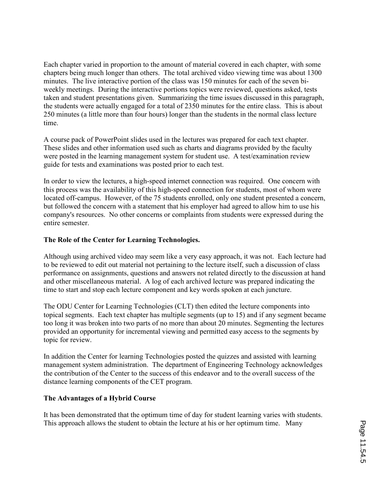Each chapter varied in proportion to the amount of material covered in each chapter, with some chapters being much longer than others. The total archived video viewing time was about 1300 minutes. The live interactive portion of the class was 150 minutes for each of the seven biweekly meetings. During the interactive portions topics were reviewed, questions asked, tests taken and student presentations given. Summarizing the time issues discussed in this paragraph, the students were actually engaged for a total of 2350 minutes for the entire class. This is about 250 minutes (a little more than four hours) longer than the students in the normal class lecture time.

A course pack of PowerPoint slides used in the lectures was prepared for each text chapter. These slides and other information used such as charts and diagrams provided by the faculty were posted in the learning management system for student use. A test/examination review guide for tests and examinations was posted prior to each test.

In order to view the lectures, a high-speed internet connection was required. One concern with this process was the availability of this high-speed connection for students, most of whom were located off-campus. However, of the 75 students enrolled, only one student presented a concern, but followed the concern with a statement that his employer had agreed to allow him to use his company's resources. No other concerns or complaints from students were expressed during the entire semester.

## The Role of the Center for Learning Technologies.

Although using archived video may seem like a very easy approach, it was not. Each lecture had to be reviewed to edit out material not pertaining to the lecture itself, such a discussion of class performance on assignments, questions and answers not related directly to the discussion at hand and other miscellaneous material. A log of each archived lecture was prepared indicating the time to start and stop each lecture component and key words spoken at each juncture.

The ODU Center for Learning Technologies (CLT) then edited the lecture components into topical segments. Each text chapter has multiple segments (up to 15) and if any segment became too long it was broken into two parts of no more than about 20 minutes. Segmenting the lectures provided an opportunity for incremental viewing and permitted easy access to the segments by topic for review.

In addition the Center for learning Technologies posted the quizzes and assisted with learning management system administration. The department of Engineering Technology acknowledges the contribution of the Center to the success of this endeavor and to the overall success of the distance learning components of the CET program.

#### The Advantages of a Hybrid Course

It has been demonstrated that the optimum time of day for student learning varies with students. This approach allows the student to obtain the lecture at his or her optimum time. Many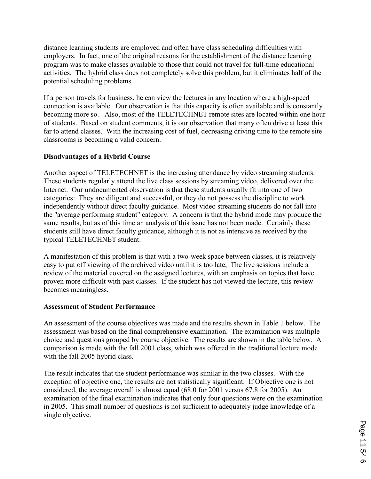distance learning students are employed and often have class scheduling difficulties with employers. In fact, one of the original reasons for the establishment of the distance learning program was to make classes available to those that could not travel for full-time educational activities. The hybrid class does not completely solve this problem, but it eliminates half of the potential scheduling problems.

If a person travels for business, he can view the lectures in any location where a high-speed connection is available. Our observation is that this capacity is often available and is constantly becoming more so. Also, most of the TELETECHNET remote sites are located within one hour of students. Based on student comments, it is our observation that many often drive at least this far to attend classes. With the increasing cost of fuel, decreasing driving time to the remote site classrooms is becoming a valid concern.

## Disadvantages of a Hybrid Course

Another aspect of TELETECHNET is the increasing attendance by video streaming students. These students regularly attend the live class sessions by streaming video, delivered over the Internet. Our undocumented observation is that these students usually fit into one of two categories: They are diligent and successful, or they do not possess the discipline to work independently without direct faculty guidance. Most video streaming students do not fall into the "average performing student" category. A concern is that the hybrid mode may produce the same results, but as of this time an analysis of this issue has not been made. Certainly these students still have direct faculty guidance, although it is not as intensive as received by the typical TELETECHNET student.

A manifestation of this problem is that with a two-week space between classes, it is relatively easy to put off viewing of the archived video until it is too late, The live sessions include a review of the material covered on the assigned lectures, with an emphasis on topics that have proven more difficult with past classes. If the student has not viewed the lecture, this review becomes meaningless.

## Assessment of Student Performance

An assessment of the course objectives was made and the results shown in Table 1 below. The assessment was based on the final comprehensive examination. The examination was multiple choice and questions grouped by course objective. The results are shown in the table below. A comparison is made with the fall 2001 class, which was offered in the traditional lecture mode with the fall 2005 hybrid class.

The result indicates that the student performance was similar in the two classes. With the exception of objective one, the results are not statistically significant. If Objective one is not considered, the average overall is almost equal (68.0 for 2001 versus 67.8 for 2005). An examination of the final examination indicates that only four questions were on the examination in 2005. This small number of questions is not sufficient to adequately judge knowledge of a single objective.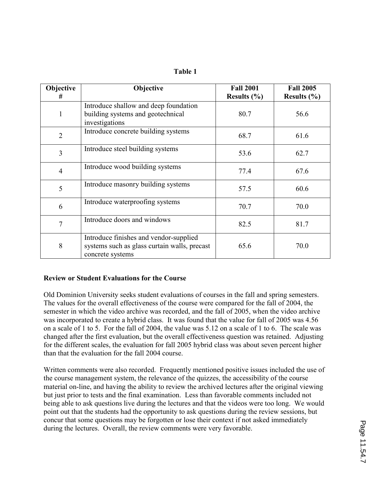| α | ۱nı | K |  |
|---|-----|---|--|
|   |     |   |  |

| Objective<br># | Objective                                                                                                  | <b>Fall 2001</b><br>Results $(\% )$ | <b>Fall 2005</b><br>Results $(\% )$ |
|----------------|------------------------------------------------------------------------------------------------------------|-------------------------------------|-------------------------------------|
| 1              | Introduce shallow and deep foundation<br>building systems and geotechnical<br>investigations               | 80.7                                | 56.6                                |
| $\overline{2}$ | Introduce concrete building systems                                                                        | 68.7                                | 61.6                                |
| 3              | Introduce steel building systems                                                                           | 53.6                                | 62.7                                |
| $\overline{4}$ | Introduce wood building systems                                                                            | 77.4                                | 67.6                                |
| 5              | Introduce masonry building systems                                                                         | 57.5                                | 60.6                                |
| 6              | Introduce waterproofing systems                                                                            | 70.7                                | 70.0                                |
| 7              | Introduce doors and windows                                                                                | 82.5                                | 81.7                                |
| 8              | Introduce finishes and vendor-supplied<br>systems such as glass curtain walls, precast<br>concrete systems | 65.6                                | 70.0                                |

#### Review or Student Evaluations for the Course

Old Dominion University seeks student evaluations of courses in the fall and spring semesters. The values for the overall effectiveness of the course were compared for the fall of 2004, the semester in which the video archive was recorded, and the fall of 2005, when the video archive was incorporated to create a hybrid class. It was found that the value for fall of 2005 was 4.56 on a scale of 1 to 5. For the fall of 2004, the value was 5.12 on a scale of 1 to 6. The scale was changed after the first evaluation, but the overall effectiveness question was retained. Adjusting for the different scales, the evaluation for fall 2005 hybrid class was about seven percent higher than that the evaluation for the fall 2004 course.

Written comments were also recorded. Frequently mentioned positive issues included the use of the course management system, the relevance of the quizzes, the accessibility of the course material on-line, and having the ability to review the archived lectures after the original viewing but just prior to tests and the final examination. Less than favorable comments included not being able to ask questions live during the lectures and that the videos were too long. We would point out that the students had the opportunity to ask questions during the review sessions, but concur that some questions may be forgotten or lose their context if not asked immediately during the lectures. Overall, the review comments were very favorable.